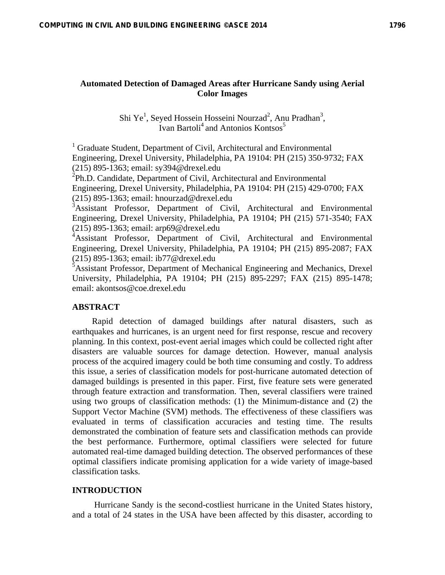# **Automated Detection of Damaged Areas after Hurricane Sandy using Aerial Color Images**

Shi Ye<sup>1</sup>, Seyed Hossein Hosseini Nourzad<sup>2</sup>, Anu Pradhan<sup>3</sup>, Ivan Bartoli<sup>4</sup> and Antonios Kontsos<sup>5</sup>

<sup>1</sup> Graduate Student, Department of Civil, Architectural and Environmental Engineering, Drexel University, Philadelphia, PA 19104: PH (215) 350-9732; FAX (215) 895-1363; email: sy394@drexel.edu

 ${}^{2}$ Ph.D. Candidate, Department of Civil, Architectural and Environmental Engineering, Drexel University, Philadelphia, PA 19104: PH (215) 429-0700; FAX  $(215)$  895-1363; email: hnourzad@drexel.edu

<sup>3</sup>Assistant Professor, Department of Civil, Architectural and Environmental Engineering, Drexel University, Philadelphia, PA 19104; PH (215) 571-3540; FAX (215) 895-1363; email: arp69@drexel.edu

<sup>4</sup>Assistant Professor, Department of Civil, Architectural and Environmental Engineering, Drexel University, Philadelphia, PA 19104; PH (215) 895-2087; FAX (215) 895-1363; email: ib77@drexel.edu

 $\overline{5}$ Assistant Professor, Department of Mechanical Engineering and Mechanics, Drexel University, Philadelphia, PA 19104; PH (215) 895-2297; FAX (215) 895-1478; email: akontsos@coe.drexel.edu

## **ABSTRACT**

Rapid detection of damaged buildings after natural disasters, such as earthquakes and hurricanes, is an urgent need for first response, rescue and recovery planning. In this context, post-event aerial images which could be collected right after disasters are valuable sources for damage detection. However, manual analysis process of the acquired imagery could be both time consuming and costly. To address this issue, a series of classification models for post-hurricane automated detection of damaged buildings is presented in this paper. First, five feature sets were generated through feature extraction and transformation. Then, several classifiers were trained using two groups of classification methods: (1) the Minimum-distance and (2) the Support Vector Machine (SVM) methods. The effectiveness of these classifiers was evaluated in terms of classification accuracies and testing time. The results demonstrated the combination of feature sets and classification methods can provide the best performance. Furthermore, optimal classifiers were selected for future automated real-time damaged building detection. The observed performances of these optimal classifiers indicate promising application for a wide variety of image-based classification tasks.

## **INTRODUCTION**

 Hurricane Sandy is the second-costliest hurricane in the United States history, and a total of 24 states in the USA have been affected by this disaster, according to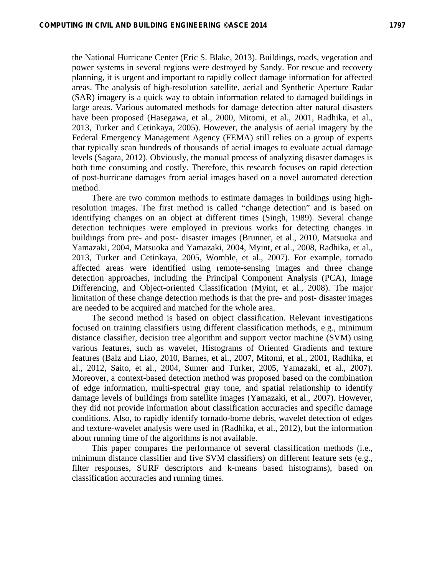the National Hurricane Center (Eric S. Blake, 2013). Buildings, roads, vegetation and power systems in several regions were destroyed by Sandy. For rescue and recovery planning, it is urgent and important to rapidly collect damage information for affected areas. The analysis of high-resolution satellite, aerial and Synthetic Aperture Radar (SAR) imagery is a quick way to obtain information related to damaged buildings in large areas. Various automated methods for damage detection after natural disasters have been proposed (Hasegawa, et al., 2000, Mitomi, et al., 2001, Radhika, et al., 2013, Turker and Cetinkaya, 2005). However, the analysis of aerial imagery by the Federal Emergency Management Agency (FEMA) still relies on a group of experts that typically scan hundreds of thousands of aerial images to evaluate actual damage levels (Sagara, 2012). Obviously, the manual process of analyzing disaster damages is both time consuming and costly. Therefore, this research focuses on rapid detection of post-hurricane damages from aerial images based on a novel automated detection method.

There are two common methods to estimate damages in buildings using highresolution images. The first method is called "change detection" and is based on identifying changes on an object at different times (Singh, 1989). Several change detection techniques were employed in previous works for detecting changes in buildings from pre- and post- disaster images (Brunner, et al., 2010, Matsuoka and Yamazaki, 2004, Matsuoka and Yamazaki, 2004, Myint, et al., 2008, Radhika, et al., 2013, Turker and Cetinkaya, 2005, Womble, et al., 2007). For example, tornado affected areas were identified using remote-sensing images and three change detection approaches, including the Principal Component Analysis (PCA), Image Differencing, and Object-oriented Classification (Myint, et al., 2008). The major limitation of these change detection methods is that the pre- and post- disaster images are needed to be acquired and matched for the whole area.

The second method is based on object classification. Relevant investigations focused on training classifiers using different classification methods, e.g., minimum distance classifier, decision tree algorithm and support vector machine (SVM) using various features, such as wavelet, Histograms of Oriented Gradients and texture features (Balz and Liao, 2010, Barnes, et al., 2007, Mitomi, et al., 2001, Radhika, et al., 2012, Saito, et al., 2004, Sumer and Turker, 2005, Yamazaki, et al., 2007). Moreover, a context-based detection method was proposed based on the combination of edge information, multi-spectral gray tone, and spatial relationship to identify damage levels of buildings from satellite images (Yamazaki, et al., 2007). However, they did not provide information about classification accuracies and specific damage conditions. Also, to rapidly identify tornado-borne debris, wavelet detection of edges and texture-wavelet analysis were used in (Radhika, et al., 2012), but the information about running time of the algorithms is not available.

This paper compares the performance of several classification methods (i.e., minimum distance classifier and five SVM classifiers) on different feature sets (e.g., filter responses, SURF descriptors and k-means based histograms), based on classification accuracies and running times.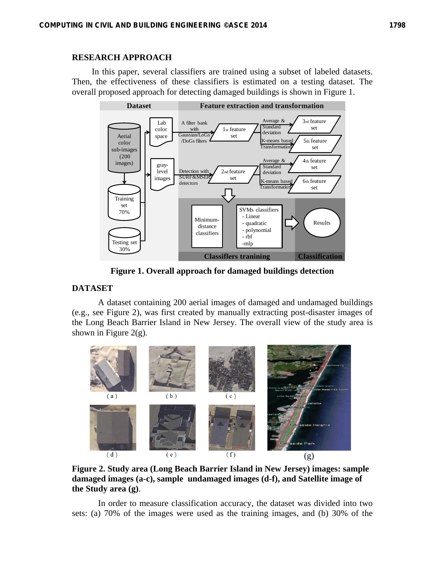## **RESEARCH APPROACH**

In this paper, several classifiers are trained using a subset of labeled datasets. Then, the effectiveness of these classifiers is estimated on a testing dataset. The overall proposed approach for detecting damaged buildings is shown in Figure 1.



**Figure 1. Overall approach for damaged buildings detection** 

# **DATASET**

A dataset containing 200 aerial images of damaged and undamaged buildings (e.g., see Figure 2), was first created by manually extracting post-disaster images of the Long Beach Barrier Island in New Jersey. The overall view of the study area is shown in Figure  $2(g)$ .



**Figure 2. Study area (Long Beach Barrier Island in New Jersey) images: sample damaged images (a-c), sample undamaged images (d-f), and Satellite image of the Study area (g)**.

In order to measure classification accuracy, the dataset was divided into two sets: (a) 70% of the images were used as the training images, and (b) 30% of the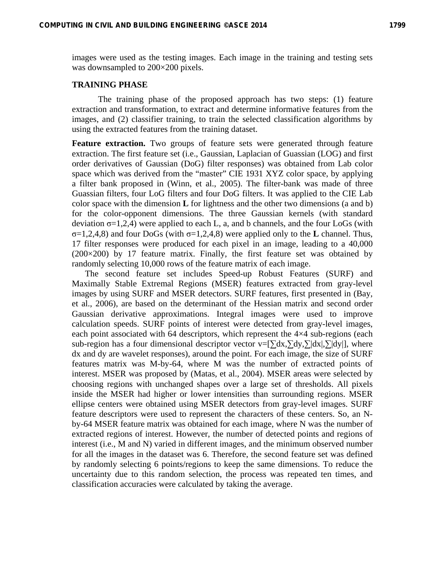images were used as the testing images. Each image in the training and testing sets was downsampled to 200×200 pixels.

### **TRAINING PHASE**

The training phase of the proposed approach has two steps: (1) feature extraction and transformation, to extract and determine informative features from the images, and (2) classifier training, to train the selected classification algorithms by using the extracted features from the training dataset.

Feature extraction. Two groups of feature sets were generated through feature extraction. The first feature set (i.e., Gaussian, Laplacian of Guassian (LOG) and first order derivatives of Gaussian (DoG) filter responses) was obtained from Lab color space which was derived from the "master" CIE 1931 XYZ color space, by applying a filter bank proposed in (Winn, et al., 2005). The filter-bank was made of three Guassian filters, four LoG filters and four DoG filters. It was applied to the CIE Lab color space with the dimension **L** for lightness and the other two dimensions (a and b) for the color-opponent dimensions. The three Gaussian kernels (with standard deviation  $\sigma$ =1,2,4) were applied to each L, a, and b channels, and the four LoGs (with σ=1,2,4,8) and four DoGs (with σ=1,2,4,8) were applied only to the **L** channel. Thus, 17 filter responses were produced for each pixel in an image, leading to a 40,000 (200×200) by 17 feature matrix. Finally, the first feature set was obtained by randomly selecting 10,000 rows of the feature matrix of each image.

The second feature set includes Speed-up Robust Features (SURF) and Maximally Stable Extremal Regions (MSER) features extracted from gray-level images by using SURF and MSER detectors. SURF features, first presented in (Bay, et al., 2006), are based on the determinant of the Hessian matrix and second order Gaussian derivative approximations. Integral images were used to improve calculation speeds. SURF points of interest were detected from gray-level images, each point associated with 64 descriptors, which represent the 4×4 sub-regions (each sub-region has a four dimensional descriptor vector v= $[\sum dx, \sum dy, \sum dx, |\sum dy|]$ , where dx and dy are wavelet responses), around the point. For each image, the size of SURF features matrix was M-by-64, where M was the number of extracted points of interest. MSER was proposed by (Matas, et al., 2004). MSER areas were selected by choosing regions with unchanged shapes over a large set of thresholds. All pixels inside the MSER had higher or lower intensities than surrounding regions. MSER ellipse centers were obtained using MSER detectors from gray-level images. SURF feature descriptors were used to represent the characters of these centers. So, an Nby-64 MSER feature matrix was obtained for each image, where N was the number of extracted regions of interest. However, the number of detected points and regions of interest (i.e., M and N) varied in different images, and the minimum observed number for all the images in the dataset was 6. Therefore, the second feature set was defined by randomly selecting 6 points/regions to keep the same dimensions. To reduce the uncertainty due to this random selection, the process was repeated ten times, and classification accuracies were calculated by taking the average.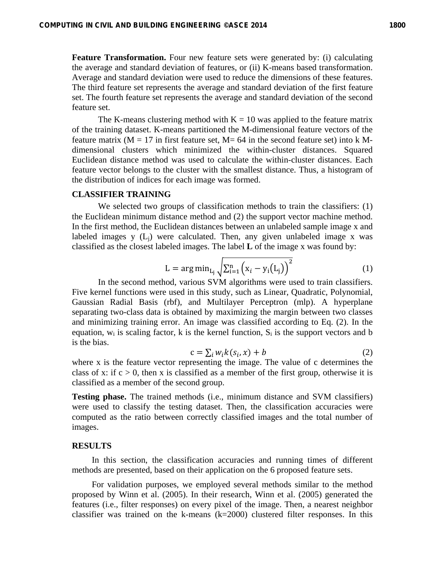**Feature Transformation.** Four new feature sets were generated by: (i) calculating the average and standard deviation of features, or (ii) K-means based transformation. Average and standard deviation were used to reduce the dimensions of these features. The third feature set represents the average and standard deviation of the first feature set. The fourth feature set represents the average and standard deviation of the second feature set.

The K-means clustering method with  $K = 10$  was applied to the feature matrix of the training dataset. K-means partitioned the M-dimensional feature vectors of the feature matrix ( $M = 17$  in first feature set,  $M = 64$  in the second feature set) into k Mdimensional clusters which minimized the within-cluster distances. Squared Euclidean distance method was used to calculate the within-cluster distances. Each feature vector belongs to the cluster with the smallest distance. Thus, a histogram of the distribution of indices for each image was formed.

#### **CLASSIFIER TRAINING**

We selected two groups of classification methods to train the classifiers: (1) the Euclidean minimum distance method and (2) the support vector machine method. In the first method, the Euclidean distances between an unlabeled sample image x and labeled images y  $(L_i)$  were calculated. Then, any given unlabeled image x was classified as the closest labeled images. The label **L** of the image x was found by:

$$
L = \arg\min_{L_j} \sqrt{\sum_{i=1}^{n} (x_i - y_i(L_j))^{2}}
$$
 (1)

In the second method, various SVM algorithms were used to train classifiers. Five kernel functions were used in this study, such as Linear, Quadratic, Polynomial, Gaussian Radial Basis (rbf), and Multilayer Perceptron (mlp). A hyperplane separating two-class data is obtained by maximizing the margin between two classes and minimizing training error. An image was classified according to Eq. (2). In the equation,  $w_i$  is scaling factor, k is the kernel function,  $S_i$  is the support vectors and b is the bias.

$$
c = \sum_{i} w_i k(s_i, x) + b \tag{2}
$$

where x is the feature vector representing the image. The value of c determines the class of x: if  $c > 0$ , then x is classified as a member of the first group, otherwise it is classified as a member of the second group.

**Testing phase.** The trained methods (i.e., minimum distance and SVM classifiers) were used to classify the testing dataset. Then, the classification accuracies were computed as the ratio between correctly classified images and the total number of images.

#### **RESULTS**

In this section, the classification accuracies and running times of different methods are presented, based on their application on the 6 proposed feature sets.

For validation purposes, we employed several methods similar to the method proposed by Winn et al. (2005). In their research, Winn et al. (2005) generated the features (i.e., filter responses) on every pixel of the image. Then, a nearest neighbor classifier was trained on the k-means  $(k=2000)$  clustered filter responses. In this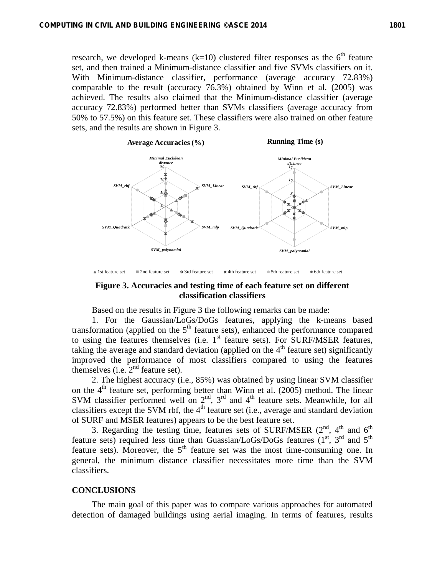research, we developed k-means (k=10) clustered filter responses as the  $6<sup>th</sup>$  feature set, and then trained a Minimum-distance classifier and five SVMs classifiers on it. With Minimum-distance classifier, performance (average accuracy 72.83%) comparable to the result (accuracy 76.3%) obtained by Winn et al. (2005) was achieved. The results also claimed that the Minimum-distance classifier (average accuracy 72.83%) performed better than SVMs classifiers (average accuracy from 50% to 57.5%) on this feature set. These classifiers were also trained on other feature sets, and the results are shown in Figure 3.



A 1st feature set **2nd feature set 4th feature set 4th feature set** 6th feature set 6th feature set 6th feature set

### **Figure 3. Accuracies and testing time of each feature set on different classification classifiers**

Based on the results in Figure 3 the following remarks can be made:

1. For the Gaussian/LoGs/DoGs features, applying the k-means based transformation (applied on the  $5<sup>th</sup>$  feature sets), enhanced the performance compared to using the features themselves (i.e.  $1<sup>st</sup>$  feature sets). For SURF/MSER features, taking the average and standard deviation (applied on the  $4<sup>th</sup>$  feature set) significantly improved the performance of most classifiers compared to using the features themselves (i.e.  $2<sup>nd</sup>$  feature set).

2. The highest accuracy (i.e., 85%) was obtained by using linear SVM classifier on the  $4<sup>th</sup>$  feature set, performing better than Winn et al. (2005) method. The linear SVM classifier performed well on  $2<sup>nd</sup>$ ,  $3<sup>rd</sup>$  and  $4<sup>th</sup>$  feature sets. Meanwhile, for all classifiers except the SVM rbf, the  $4<sup>th</sup>$  feature set (i.e., average and standard deviation of SURF and MSER features) appears to be the best feature set.

3. Regarding the testing time, features sets of SURF/MSER  $(2^{nd}, 4^{th}$  and  $6^{th}$ feature sets) required less time than Guassian/LoGs/DoGs features  $(1<sup>st</sup>, 3<sup>rd</sup>$  and  $5<sup>th</sup>$ feature sets). Moreover, the  $5<sup>th</sup>$  feature set was the most time-consuming one. In general, the minimum distance classifier necessitates more time than the SVM classifiers.

#### **CONCLUSIONS**

The main goal of this paper was to compare various approaches for automated detection of damaged buildings using aerial imaging. In terms of features, results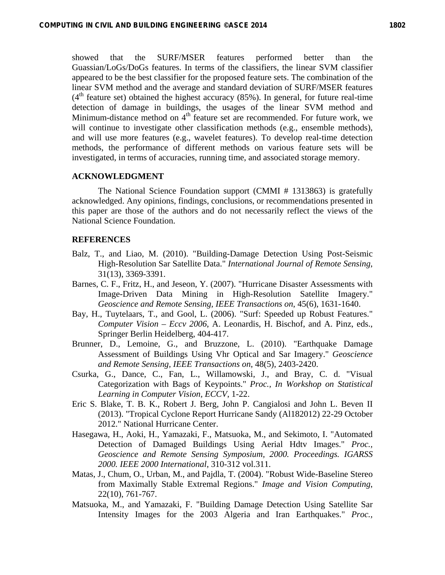showed that the SURF/MSER features performed better than the Guassian/LoGs/DoGs features. In terms of the classifiers, the linear SVM classifier appeared to be the best classifier for the proposed feature sets. The combination of the linear SVM method and the average and standard deviation of SURF/MSER features  $(4<sup>th</sup>$  feature set) obtained the highest accuracy (85%). In general, for future real-time detection of damage in buildings, the usages of the linear SVM method and Minimum-distance method on  $4<sup>th</sup>$  feature set are recommended. For future work, we will continue to investigate other classification methods (e.g., ensemble methods), and will use more features (e.g., wavelet features). To develop real-time detection methods, the performance of different methods on various feature sets will be investigated, in terms of accuracies, running time, and associated storage memory.

#### **ACKNOWLEDGMENT**

The National Science Foundation support (CMMI # 1313863) is gratefully acknowledged. Any opinions, findings, conclusions, or recommendations presented in this paper are those of the authors and do not necessarily reflect the views of the National Science Foundation.

### **REFERENCES**

- Balz, T., and Liao, M. (2010). "Building-Damage Detection Using Post-Seismic High-Resolution Sar Satellite Data." *International Journal of Remote Sensing*, 31(13), 3369-3391.
- Barnes, C. F., Fritz, H., and Jeseon, Y. (2007). "Hurricane Disaster Assessments with Image-Driven Data Mining in High-Resolution Satellite Imagery." *Geoscience and Remote Sensing, IEEE Transactions on*, 45(6), 1631-1640.
- Bay, H., Tuytelaars, T., and Gool, L. (2006). "Surf: Speeded up Robust Features." *Computer Vision – Eccv 2006*, A. Leonardis, H. Bischof, and A. Pinz, eds., Springer Berlin Heidelberg, 404-417.
- Brunner, D., Lemoine, G., and Bruzzone, L. (2010). "Earthquake Damage Assessment of Buildings Using Vhr Optical and Sar Imagery." *Geoscience and Remote Sensing, IEEE Transactions on*, 48(5), 2403-2420.
- Csurka, G., Dance, C., Fan, L., Willamowski, J., and Bray, C. d. "Visual Categorization with Bags of Keypoints." *Proc., In Workshop on Statistical Learning in Computer Vision, ECCV*, 1-22.
- Eric S. Blake, T. B. K., Robert J. Berg, John P. Cangialosi and John L. Beven II (2013). "Tropical Cyclone Report Hurricane Sandy (Al182012) 22-29 October 2012." National Hurricane Center.
- Hasegawa, H., Aoki, H., Yamazaki, F., Matsuoka, M., and Sekimoto, I. "Automated Detection of Damaged Buildings Using Aerial Hdtv Images." *Proc., Geoscience and Remote Sensing Symposium, 2000. Proceedings. IGARSS 2000. IEEE 2000 International*, 310-312 vol.311.
- Matas, J., Chum, O., Urban, M., and Pajdla, T. (2004). "Robust Wide-Baseline Stereo from Maximally Stable Extremal Regions." *Image and Vision Computing*, 22(10), 761-767.
- Matsuoka, M., and Yamazaki, F. "Building Damage Detection Using Satellite Sar Intensity Images for the 2003 Algeria and Iran Earthquakes." *Proc.,*